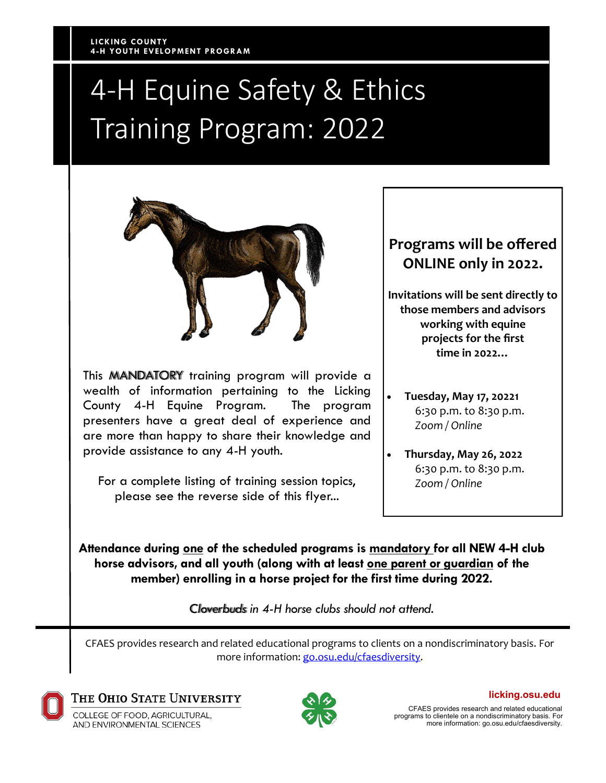# 4-H Equine Safety & Ethics Training Program: 2022



This MANDATORY training program will provide a wealth of information pertaining to the Licking County 4-H Equine Program. The program presenters have a great deal of experience and are more than happy to share their knowledge and provide assistance to any 4-H youth.

For a complete listing of training session topics, please see the reverse side of this flyer...

### **Programs will be offered ONLINE only in 2022.**

**Invitations will be sent directly to those members and advisors working with equine projects for the first time in 2022…**

- **Tuesday, May 17, 20221** 6:30 p.m. to 8:30 p.m. *Zoom / Online*
- **Thursday, May 26, 2022** 6:30 p.m. to 8:30 p.m. *Zoom / Online*

**Attendance during one of the scheduled programs is mandatory for all NEW 4-H club horse advisors, and all youth (along with at least one parent or guardian of the member) enrolling in a horse project for the first time during 2022.** 

*Cloverbuds in 4-H horse clubs should not attend*.

CFAES provides research and related educational programs to clients on a nondiscriminatory basis. For more information: [go.osu.edu/cfaesdiversity.](http://go.osu.edu/cfaesdiversity)



THE OHIO STATE UNIVERSITY

COLLEGE OF FOOD. AGRICULTURAL. AND ENVIRONMENTAL SCIENCES



**licking.osu.edu**

CFAES provides research and related educational programs to clientele on a nondiscriminatory basis. For more information: go.osu.edu/cfaesdiversity.